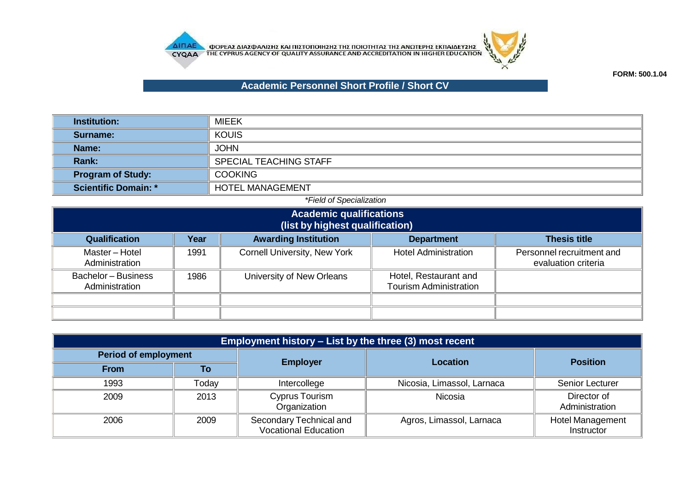



## **Academic Personnel Short Profile / Short CV**

| <b>Institution:</b>         | <b>MIEEK</b>                  |
|-----------------------------|-------------------------------|
| Surname:                    | <b>KOUIS</b>                  |
| Name:                       | <b>JOHN</b>                   |
| <b>Rank:</b>                | <b>SPECIAL TEACHING STAFF</b> |
| <b>Program of Study:</b>    | <b>COOKING</b>                |
| <b>Scientific Domain: *</b> | <b>HOTEL MANAGEMENT</b>       |

## *\*Field of Specialization* **Academic qualifications (list by highest qualification) Qualification Year Awarding Institution Department Thesis title** Master – Hotel Administration 1991 Cornell University, New York Hotel Administration **Personnel recruitment and** evaluation criteria Bachelor – Business Administration 1986 | University of New Orleans | Hotel, Restaurant and Tourism Administration

| <b>Employment history – List by the three (3) most recent</b> |       |                                                        |                            |                                       |  |
|---------------------------------------------------------------|-------|--------------------------------------------------------|----------------------------|---------------------------------------|--|
| <b>Period of employment</b>                                   |       | <b>Employer</b>                                        | <b>Location</b>            | <b>Position</b>                       |  |
| <b>From</b>                                                   | To    |                                                        |                            |                                       |  |
| 1993                                                          | Today | Intercollege                                           | Nicosia, Limassol, Larnaca | <b>Senior Lecturer</b>                |  |
| 2009                                                          | 2013  | Cyprus Tourism<br>Organization                         | Nicosia                    | Director of<br>Administration         |  |
| 2006                                                          | 2009  | Secondary Technical and<br><b>Vocational Education</b> | Agros, Limassol, Larnaca   | <b>Hotel Management</b><br>Instructor |  |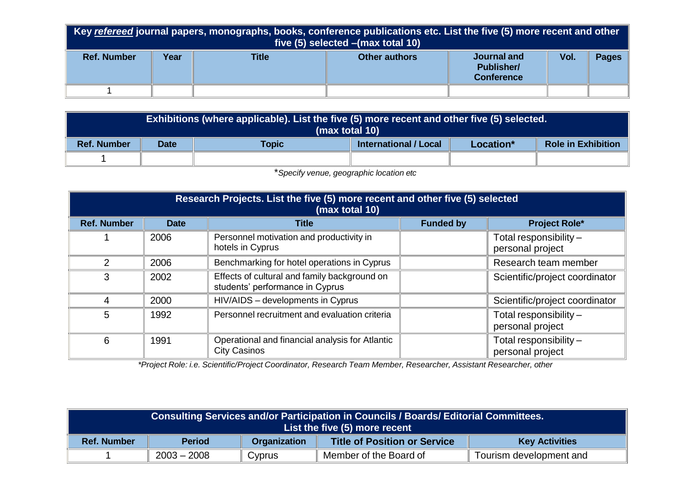| Key refereed journal papers, monographs, books, conference publications etc. List the five (5) more recent and other<br>five $(5)$ selected $-(max total 10)$ |      |              |               |                                                       |      |              |
|---------------------------------------------------------------------------------------------------------------------------------------------------------------|------|--------------|---------------|-------------------------------------------------------|------|--------------|
| <b>Ref. Number</b>                                                                                                                                            | Year | <b>Title</b> | Other authors | Journal and<br><b>Publisher/</b><br><b>Conference</b> | Vol. | <b>Pages</b> |
|                                                                                                                                                               |      |              |               |                                                       |      |              |

| Exhibitions (where applicable). List the five (5) more recent and other five (5) selected.<br>(max total 10) |                                                                   |  |  |  |                           |
|--------------------------------------------------------------------------------------------------------------|-------------------------------------------------------------------|--|--|--|---------------------------|
| <b>Ref. Number</b>                                                                                           | <b>International / Local</b><br>Topic<br><b>Date</b><br>Location* |  |  |  | <b>Role in Exhibition</b> |
|                                                                                                              |                                                                   |  |  |  |                           |

\**Specify venue, geographic location etc*

| Research Projects. List the five (5) more recent and other five (5) selected<br>(max total 10) |             |                                                                                 |                      |                                              |  |
|------------------------------------------------------------------------------------------------|-------------|---------------------------------------------------------------------------------|----------------------|----------------------------------------------|--|
| <b>Ref. Number</b>                                                                             | <b>Date</b> | <b>Title</b>                                                                    | <b>Funded by</b>     | <b>Project Role*</b>                         |  |
|                                                                                                | 2006        | Personnel motivation and productivity in<br>hotels in Cyprus                    |                      | Total responsibility -<br>personal project   |  |
| 2                                                                                              | 2006        | Benchmarking for hotel operations in Cyprus                                     | Research team member |                                              |  |
| 3                                                                                              | 2002        | Effects of cultural and family background on<br>students' performance in Cyprus |                      | Scientific/project coordinator               |  |
| 4                                                                                              | 2000        | HIV/AIDS - developments in Cyprus                                               |                      | Scientific/project coordinator               |  |
| 5                                                                                              | 1992        | Personnel recruitment and evaluation criteria                                   |                      | Total responsibility $-$<br>personal project |  |
| 6                                                                                              | 1991        | Operational and financial analysis for Atlantic<br><b>City Casinos</b>          |                      | Total responsibility $-$<br>personal project |  |

*\*Project Role: i.e. Scientific/Project Coordinator, Research Team Member, Researcher, Assistant Researcher, other*

| Consulting Services and/or Participation in Councils / Boards/ Editorial Committees.<br>List the five (5) more recent |               |                     |                                     |                       |
|-----------------------------------------------------------------------------------------------------------------------|---------------|---------------------|-------------------------------------|-----------------------|
| <b>Ref. Number</b>                                                                                                    | <b>Period</b> | <b>Organization</b> | <b>Title of Position or Service</b> | <b>Key Activities</b> |
| Member of the Board of<br>$2003 - 2008$<br>Tourism development and<br>Cyprus                                          |               |                     |                                     |                       |